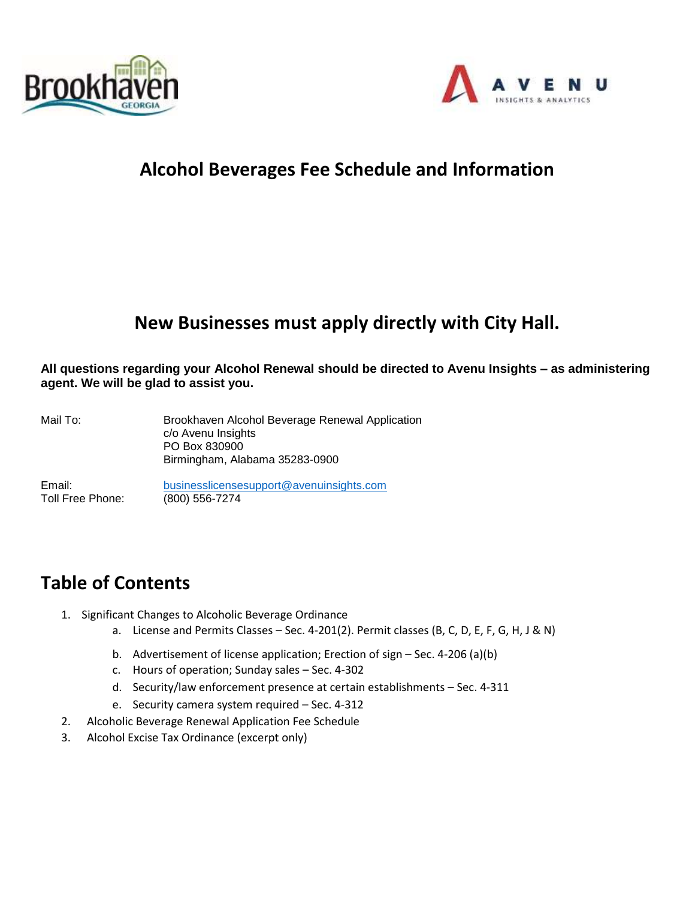



# **Alcohol Beverages Fee Schedule and Information**

# **New Businesses must apply directly with City Hall.**

**All questions regarding your Alcohol Renewal should be directed to Avenu Insights – as administering agent. We will be glad to assist you.**

Mail To: Brookhaven Alcohol Beverage Renewal Application c/o Avenu Insights PO Box 830900 Birmingham, Alabama 35283-0900

Email: [businesslicensesupport@avenuinsights.com](mailto:businesslicensesupport@avenuinsights.com) Toll Free Phone: (800) 556-7274

# **Table of Contents**

- 1. Significant Changes to Alcoholic Beverage Ordinance
	- a. License and Permits Classes Sec. 4-201(2). Permit classes (B, C, D, E, F, G, H, J & N)
	- b. Advertisement of license application; Erection of sign Sec. 4-206 (a)(b)
	- c. Hours of operation; Sunday sales Sec. 4-302
	- d. Security/law enforcement presence at certain establishments Sec. 4-311
	- e. Security camera system required Sec. 4-312
- 2. Alcoholic Beverage Renewal Application Fee Schedule
- 3. Alcohol Excise Tax Ordinance (excerpt only)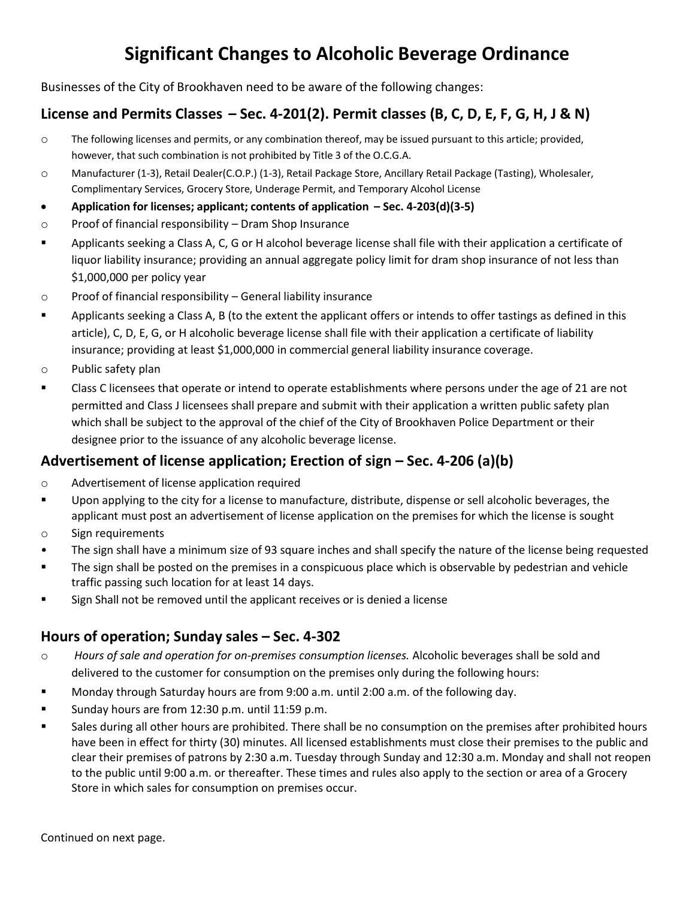# **Significant Changes to Alcoholic Beverage Ordinance**

Businesses of the City of Brookhaven need to be aware of the following changes:

### **License and Permits Classes – Sec. 4-201(2). Permit classes (B, C, D, E, F, G, H, J & N)**

- o The following licenses and permits, or any combination thereof, may be issued pursuant to this article; provided, however, that such combination is not prohibited by Title 3 of the O.C.G.A.
- o Manufacturer (1-3), Retail Dealer(C.O.P.) (1-3), Retail Package Store, Ancillary Retail Package (Tasting), Wholesaler, Complimentary Services, Grocery Store, Underage Permit, and Temporary Alcohol License
- **Application for licenses; applicant; contents of application – Sec. 4-203(d)(3-5)**
- o Proof of financial responsibility Dram Shop Insurance
- Applicants seeking a Class A, C, G or H alcohol beverage license shall file with their application a certificate of liquor liability insurance; providing an annual aggregate policy limit for dram shop insurance of not less than \$1,000,000 per policy year
- o Proof of financial responsibility General liability insurance
- Applicants seeking a Class A, B (to the extent the applicant offers or intends to offer tastings as defined in this article), C, D, E, G, or H alcoholic beverage license shall file with their application a certificate of liability insurance; providing at least \$1,000,000 in commercial general liability insurance coverage.
- o Public safety plan
- Class C licensees that operate or intend to operate establishments where persons under the age of 21 are not permitted and Class J licensees shall prepare and submit with their application a written public safety plan which shall be subject to the approval of the chief of the City of Brookhaven Police Department or their designee prior to the issuance of any alcoholic beverage license.

### **Advertisement of license application; Erection of sign – Sec. 4-206 (a)(b)**

- o Advertisement of license application required
- Upon applying to the city for a license to manufacture, distribute, dispense or sell alcoholic beverages, the applicant must post an advertisement of license application on the premises for which the license is sought
- o Sign requirements
- The sign shall have a minimum size of 93 square inches and shall specify the nature of the license being requested
- The sign shall be posted on the premises in a conspicuous place which is observable by pedestrian and vehicle traffic passing such location for at least 14 days.
- Sign Shall not be removed until the applicant receives or is denied a license

### **Hours of operation; Sunday sales – Sec. 4-302**

- o *Hours of sale and operation for on-premises consumption licenses.* Alcoholic beverages shall be sold and delivered to the customer for consumption on the premises only during the following hours:
- Monday through Saturday hours are from 9:00 a.m. until 2:00 a.m. of the following day.
- Sunday hours are from 12:30 p.m. until 11:59 p.m.
- Sales during all other hours are prohibited. There shall be no consumption on the premises after prohibited hours have been in effect for thirty (30) minutes. All licensed establishments must close their premises to the public and clear their premises of patrons by 2:30 a.m. Tuesday through Sunday and 12:30 a.m. Monday and shall not reopen to the public until 9:00 a.m. or thereafter. These times and rules also apply to the section or area of a Grocery Store in which sales for consumption on premises occur.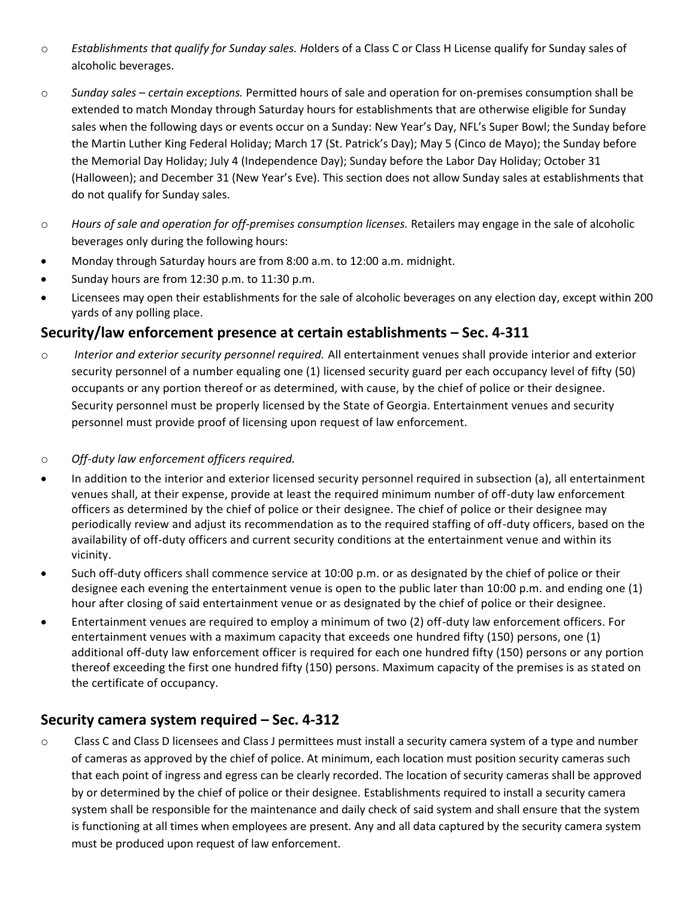- o *Establishments that qualify for Sunday sales. H*olders of a Class C or Class H License qualify for Sunday sales of alcoholic beverages.
- o *Sunday sales – certain exceptions.* Permitted hours of sale and operation for on-premises consumption shall be extended to match Monday through Saturday hours for establishments that are otherwise eligible for Sunday sales when the following days or events occur on a Sunday: New Year's Day, NFL's Super Bowl; the Sunday before the Martin Luther King Federal Holiday; March 17 (St. Patrick's Day); May 5 (Cinco de Mayo); the Sunday before the Memorial Day Holiday; July 4 (Independence Day); Sunday before the Labor Day Holiday; October 31 (Halloween); and December 31 (New Year's Eve). This section does not allow Sunday sales at establishments that do not qualify for Sunday sales.
- o *Hours of sale and operation for off-premises consumption licenses.* Retailers may engage in the sale of alcoholic beverages only during the following hours:
- Monday through Saturday hours are from 8:00 a.m. to 12:00 a.m. midnight.
- Sunday hours are from 12:30 p.m. to 11:30 p.m.
- Licensees may open their establishments for the sale of alcoholic beverages on any election day, except within 200 yards of any polling place.

### **Security/law enforcement presence at certain establishments – Sec. 4-311**

- o *Interior and exterior security personnel required.* All entertainment venues shall provide interior and exterior security personnel of a number equaling one (1) licensed security guard per each occupancy level of fifty (50) occupants or any portion thereof or as determined, with cause, by the chief of police or their designee. Security personnel must be properly licensed by the State of Georgia. Entertainment venues and security personnel must provide proof of licensing upon request of law enforcement.
- o *Off-duty law enforcement officers required.*
- In addition to the interior and exterior licensed security personnel required in subsection (a), all entertainment venues shall, at their expense, provide at least the required minimum number of off-duty law enforcement officers as determined by the chief of police or their designee. The chief of police or their designee may periodically review and adjust its recommendation as to the required staffing of off-duty officers, based on the availability of off-duty officers and current security conditions at the entertainment venue and within its vicinity.
- Such off-duty officers shall commence service at 10:00 p.m. or as designated by the chief of police or their designee each evening the entertainment venue is open to the public later than 10:00 p.m. and ending one (1) hour after closing of said entertainment venue or as designated by the chief of police or their designee.
- Entertainment venues are required to employ a minimum of two (2) off-duty law enforcement officers. For entertainment venues with a maximum capacity that exceeds one hundred fifty (150) persons, one (1) additional off-duty law enforcement officer is required for each one hundred fifty (150) persons or any portion thereof exceeding the first one hundred fifty (150) persons. Maximum capacity of the premises is as stated on the certificate of occupancy.

### **Security camera system required – Sec. 4-312**

o Class C and Class D licensees and Class J permittees must install a security camera system of a type and number of cameras as approved by the chief of police. At minimum, each location must position security cameras such that each point of ingress and egress can be clearly recorded. The location of security cameras shall be approved by or determined by the chief of police or their designee. Establishments required to install a security camera system shall be responsible for the maintenance and daily check of said system and shall ensure that the system is functioning at all times when employees are present. Any and all data captured by the security camera system must be produced upon request of law enforcement.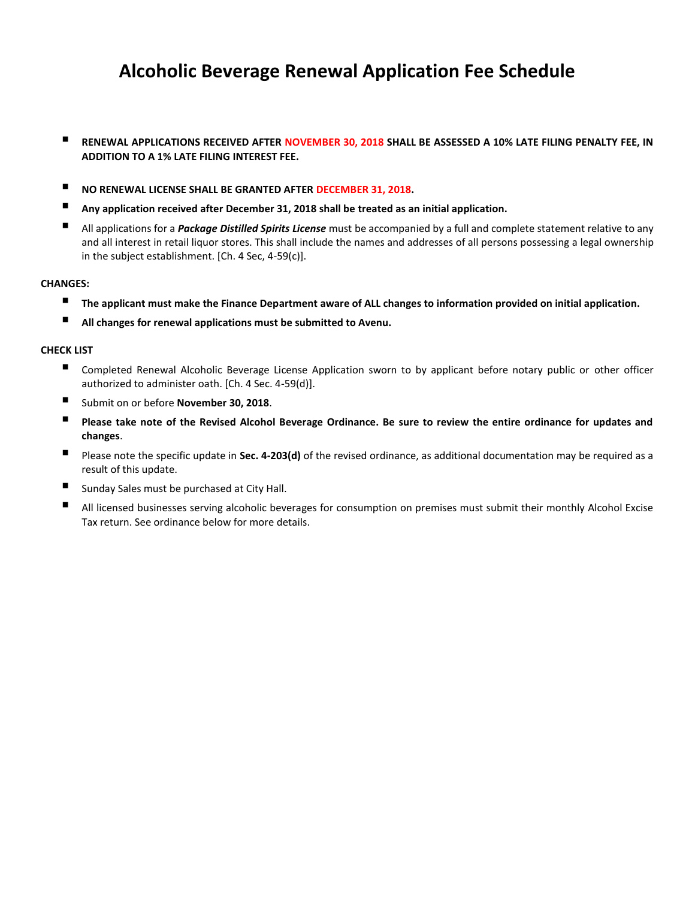# **Alcoholic Beverage Renewal Application Fee Schedule**

- **RENEWAL APPLICATIONS RECEIVED AFTER NOVEMBER 30, 2018 SHALL BE ASSESSED A 10% LATE FILING PENALTY FEE, IN ADDITION TO A 1% LATE FILING INTEREST FEE.**
- **NO RENEWAL LICENSE SHALL BE GRANTED AFTER DECEMBER 31, 2018.**
- **Any application received after December 31, 2018 shall be treated as an initial application.**
- All applications for a *Package Distilled Spirits License* must be accompanied by a full and complete statement relative to any and all interest in retail liquor stores. This shall include the names and addresses of all persons possessing a legal ownership in the subject establishment. [Ch. 4 Sec, 4-59(c)].

#### **CHANGES:**

- The applicant must make the Finance Department aware of ALL changes to information provided on initial application.
- All changes for renewal applications must be submitted to Avenu.

#### **CHECK LIST**

- Completed Renewal Alcoholic Beverage License Application sworn to by applicant before notary public or other officer authorized to administer oath. [Ch. 4 Sec. 4-59(d)].
- Submit on or before **November 30, 2018**.
- Please take note of the Revised Alcohol Beverage Ordinance. Be sure to review the entire ordinance for updates and **changes**.
- Please note the specific update in **Sec. 4-203(d)** of the revised ordinance, as additional documentation may be required as a result of this update.
- Sunday Sales must be purchased at City Hall.
- All licensed businesses serving alcoholic beverages for consumption on premises must submit their monthly Alcohol Excise Tax return. See ordinance below for more details.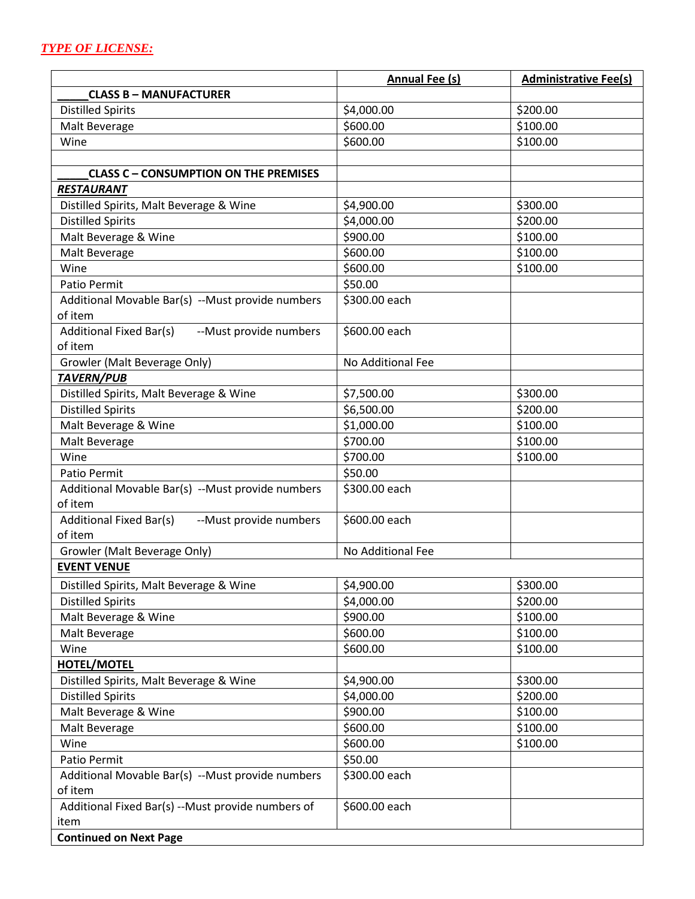|                                                          | <b>Annual Fee (s)</b>  | <b>Administrative Fee(s)</b> |
|----------------------------------------------------------|------------------------|------------------------------|
| <b>CLASS B - MANUFACTURER</b>                            |                        |                              |
| <b>Distilled Spirits</b>                                 | \$4,000.00             | \$200.00                     |
| Malt Beverage                                            | \$600.00               | \$100.00                     |
| Wine                                                     | \$600.00               | \$100.00                     |
|                                                          |                        |                              |
| <b>CLASS C - CONSUMPTION ON THE PREMISES</b>             |                        |                              |
| <b>RESTAURANT</b>                                        |                        |                              |
| Distilled Spirits, Malt Beverage & Wine                  | \$4,900.00             | \$300.00                     |
| <b>Distilled Spirits</b>                                 | \$4,000.00             | \$200.00                     |
| Malt Beverage & Wine                                     | \$900.00               | \$100.00                     |
| Malt Beverage                                            | \$600.00               | \$100.00                     |
| Wine                                                     | \$600.00               | \$100.00                     |
| Patio Permit                                             | \$50.00                |                              |
| Additional Movable Bar(s) --Must provide numbers         | \$300.00 each          |                              |
| of item                                                  |                        |                              |
| <b>Additional Fixed Bar(s)</b><br>--Must provide numbers | \$600.00 each          |                              |
| of item                                                  |                        |                              |
| Growler (Malt Beverage Only)                             | No Additional Fee      |                              |
| <b>TAVERN/PUB</b>                                        |                        |                              |
| Distilled Spirits, Malt Beverage & Wine                  | \$7,500.00             | \$300.00                     |
| <b>Distilled Spirits</b>                                 | \$6,500.00             | \$200.00                     |
| Malt Beverage & Wine                                     | \$1,000.00             | \$100.00                     |
| Malt Beverage                                            | \$700.00               | \$100.00                     |
| Wine                                                     | \$700.00               | \$100.00                     |
| Patio Permit                                             | \$50.00                |                              |
| Additional Movable Bar(s) --Must provide numbers         | \$300.00 each          |                              |
| of item                                                  |                        |                              |
| --Must provide numbers<br><b>Additional Fixed Bar(s)</b> | \$600.00 each          |                              |
| of item                                                  |                        |                              |
| Growler (Malt Beverage Only)                             | No Additional Fee      |                              |
| <b>EVENT VENUE</b>                                       |                        |                              |
| Distilled Spirits, Malt Beverage & Wine                  | $\overline{$4,900.00}$ | $\overline{$}300.00$         |
| <b>Distilled Spirits</b>                                 | \$4,000.00             | \$200.00                     |
| Malt Beverage & Wine                                     | \$900.00               | \$100.00                     |
| Malt Beverage                                            | \$600.00               | \$100.00                     |
| Wine                                                     | \$600.00               | \$100.00                     |
| <b>HOTEL/MOTEL</b>                                       |                        |                              |
| Distilled Spirits, Malt Beverage & Wine                  | \$4,900.00             | \$300.00                     |
| <b>Distilled Spirits</b>                                 | \$4,000.00             | \$200.00                     |
| Malt Beverage & Wine                                     | \$900.00               | \$100.00                     |
| Malt Beverage                                            | \$600.00               | \$100.00                     |
| Wine                                                     | \$600.00               | \$100.00                     |
| Patio Permit                                             | \$50.00                |                              |
| Additional Movable Bar(s) --Must provide numbers         | \$300.00 each          |                              |
| of item                                                  |                        |                              |
| Additional Fixed Bar(s) -- Must provide numbers of       | \$600.00 each          |                              |
| item                                                     |                        |                              |
| <b>Continued on Next Page</b>                            |                        |                              |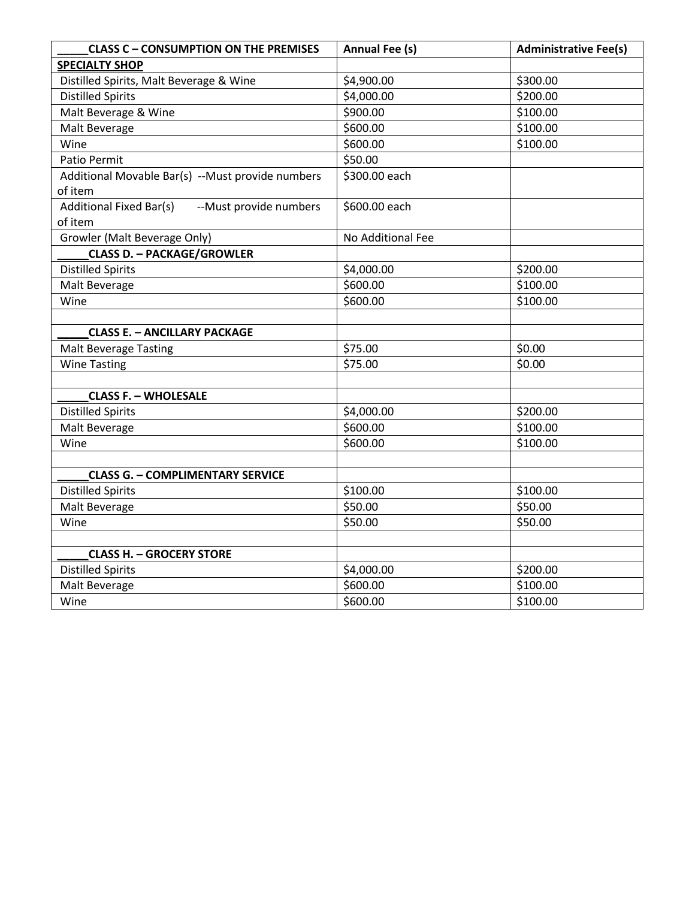| <b>CLASS C - CONSUMPTION ON THE PREMISES</b>              | <b>Annual Fee (s)</b> | <b>Administrative Fee(s)</b> |
|-----------------------------------------------------------|-----------------------|------------------------------|
| <b>SPECIALTY SHOP</b>                                     |                       |                              |
| Distilled Spirits, Malt Beverage & Wine                   | \$4,900.00            | \$300.00                     |
| <b>Distilled Spirits</b>                                  | \$4,000.00            | \$200.00                     |
| Malt Beverage & Wine                                      | \$900.00              | \$100.00                     |
| Malt Beverage                                             | \$600.00              | \$100.00                     |
| Wine                                                      | \$600.00              | \$100.00                     |
| Patio Permit                                              | \$50.00               |                              |
| Additional Movable Bar(s) --Must provide numbers          | \$300.00 each         |                              |
| of item                                                   |                       |                              |
| -- Must provide numbers<br><b>Additional Fixed Bar(s)</b> | \$600.00 each         |                              |
| of item                                                   |                       |                              |
| Growler (Malt Beverage Only)                              | No Additional Fee     |                              |
| <b>CLASS D. - PACKAGE/GROWLER</b>                         |                       |                              |
| <b>Distilled Spirits</b>                                  | \$4,000.00            | \$200.00                     |
| Malt Beverage                                             | \$600.00              | \$100.00                     |
| Wine                                                      | \$600.00              | \$100.00                     |
|                                                           |                       |                              |
| <b>CLASS E. - ANCILLARY PACKAGE</b>                       |                       |                              |
| <b>Malt Beverage Tasting</b>                              | \$75.00               | \$0.00                       |
| <b>Wine Tasting</b>                                       | \$75.00               | \$0.00                       |
|                                                           |                       |                              |
| <b>CLASS F. - WHOLESALE</b>                               |                       |                              |
| <b>Distilled Spirits</b>                                  | \$4,000.00            | \$200.00                     |
| Malt Beverage                                             | \$600.00              | \$100.00                     |
| Wine                                                      | \$600.00              | \$100.00                     |
|                                                           |                       |                              |
| <b>CLASS G. - COMPLIMENTARY SERVICE</b>                   |                       |                              |
| <b>Distilled Spirits</b>                                  | \$100.00              | \$100.00                     |
| Malt Beverage                                             | \$50.00               | \$50.00                      |
| Wine                                                      | \$50.00               | \$50.00                      |
|                                                           |                       |                              |
| <b>CLASS H. - GROCERY STORE</b>                           |                       |                              |
| <b>Distilled Spirits</b>                                  | \$4,000.00            | \$200.00                     |
| Malt Beverage                                             | \$600.00              | \$100.00                     |
| Wine                                                      | \$600.00              | \$100.00                     |